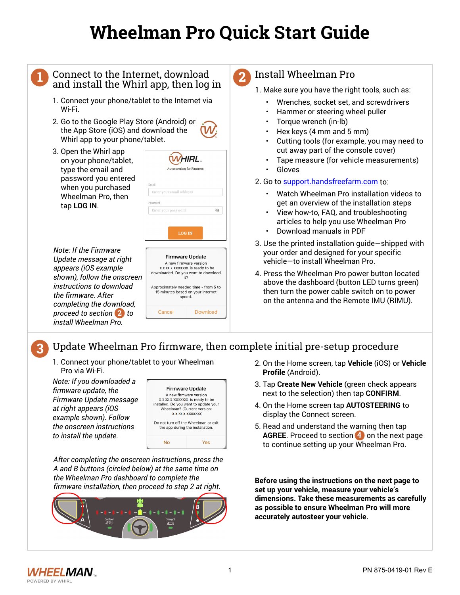# **Wheelman Pro Quick Start Guide**

## **1**

# Connect to the Internet, download **<sup>4</sup>** and install the Whirl app, then log in

- 1. Connect your phone/tablet to the Internet via Wi-Fi.
- 2. Go to the Google Play Store (Android) or the App Store (iOS) and download the Whirl app to your phone/tablet.
- 3. Open the Whirl app on your phone/tablet, type the email and password you entered when you purchased Wheelman Pro, then tap **LOG IN**.

| <b>Note: If the Firmware</b> |
|------------------------------|
| Update message at right      |
| appears (iOS example         |
| shown), follow the onscreen  |
| instructions to download     |
| the firmware. After          |
| completing the download,     |
| proceed to section 2 to      |
| install Wheelman Pro.        |



Approximately needed time - from 5 to 15 minutes based on your internet speed

Cancel

#### **2** Install Wheelman Pro

- 1. Make sure you have the right tools, such as:
	- Wrenches, socket set, and screwdrivers
	- Hammer or steering wheel puller
	- Torque wrench (in-lb)
	- Hex keys (4 mm and 5 mm)
	- Cutting tools (for example, you may need to cut away part of the console cover)
	- Tape measure (for vehicle measurements)
	- Gloves
- 2. Go to support.handsfreefarm.com to:
	- Watch Wheelman Pro installation videos to get an overview of the installation steps
	- View how-to, FAQ, and troubleshooting articles to help you use Wheelman Pro
	- Download manuals in PDF
- 3. Use the printed installation guide—shipped with your order and designed for your specific vehicle—to install Wheelman Pro.
- 4. Press the Wheelman Pro power button located above the dashboard (button LED turns green) then turn the power cable switch on to power on the antenna and the Remote IMU (RIMU).

#### **3** Update Wheelman Pro firmware, then complete initial pre-setup procedure

Download

1. Connect your phone/tablet to your Wheelman Pro via Wi-Fi.

*Note: If you downloaded a firmware update, the Firmware Update message at right appears (iOS example shown). Follow the onscreen instructions to install the update.*



*After completing the onscreen instructions, press the A and B buttons (circled below) at the same time on the Wheelman Pro dashboard to complete the firmware installation, then proceed to step 2 at right.*



- 2. On the Home screen, tap **Vehicle** (iOS) or **Vehicle Profile** (Android).
- 3. Tap **Create New Vehicle** (green check appears next to the selection) then tap **CONFIRM**.
- 4. On the Home screen tap **AUTOSTEERING** to display the Connect screen.
- 5. Read and understand the warning then tap **AGREE**. Proceed to section 4 on the next page to continue setting up your Wheelman Pro.

**Before using the instructions on the next page to set up your vehicle, measure your vehicle's dimensions. Take these measurements as carefully as possible to ensure Wheelman Pro will more accurately autosteer your vehicle.**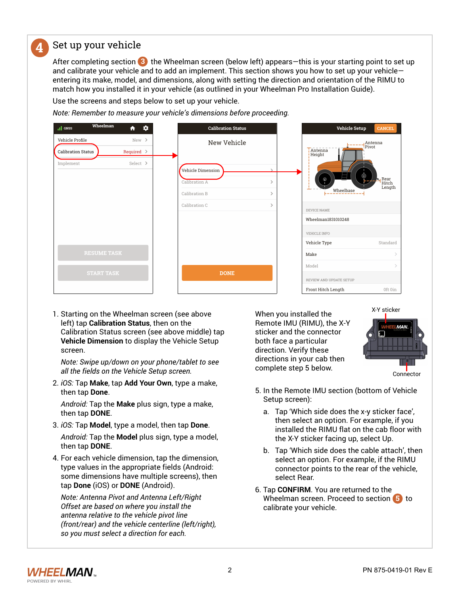#### **4** Set up your vehicle

After completing section (3) the Wheelman screen (below left) appears—this is your starting point to set up and calibrate your vehicle and to add an implement. This section shows you how to set up your vehicle entering its make, model, and dimensions, along with setting the direction and orientation of the RIMU to match how you installed it in your vehicle (as outlined in your Wheelman Pro Installation Guide).

Use the screens and steps below to set up your vehicle.

*Note: Remember to measure your vehicle's dimensions before proceeding.*

| Wheelman<br>III GNSS                         | $\bullet$<br>合           | <b>Calibration Status</b>                              |                                | <b>Vehicle Setup</b>    | <b>CANCEL</b>           |
|----------------------------------------------|--------------------------|--------------------------------------------------------|--------------------------------|-------------------------|-------------------------|
| Vehicle Profile<br><b>Calibration Status</b> | New ><br>Required $\geq$ | New Vehicle<br>Antenna<br>Pivot<br>Antenna<br>  Height |                                |                         |                         |
| Implement                                    | Select >                 | Vehicle Dimension<br>Calibration A<br>Calibration B    | $\rightarrow$<br>$\rightarrow$ | Wheelbase               | Rear<br>Hitch<br>Length |
|                                              |                          | Calibration C                                          | $\rightarrow$                  | DEVICE NAME             |                         |
|                                              |                          |                                                        |                                | Wheelman1831010248      |                         |
|                                              |                          |                                                        |                                | VEHICLE INFO            |                         |
|                                              |                          |                                                        |                                | Vehicle Type            | Standard                |
| <b>RESUME TASK</b>                           |                          |                                                        |                                | Make                    |                         |
| <b>START TASK</b>                            |                          | <b>DONE</b>                                            |                                | Model                   | $\mathcal{L}$           |
|                                              |                          |                                                        |                                | REVIEW AND UPDATE SETUP |                         |
|                                              |                          |                                                        |                                | Front Hitch Length      | Oft 0in                 |

1. Starting on the Wheelman screen (see above left) tap **Calibration Status**, then on the Calibration Status screen (see above middle) tap **Vehicle Dimension** to display the Vehicle Setup screen.

*Note: Swipe up/down on your phone/tablet to see all the fields on the Vehicle Setup screen.*

2. *iOS:* Tap **Make**, tap **Add Your Own**, type a make, then tap **Done**.

*Android:* Tap the **Make** plus sign, type a make, then tap **DONE**.

3. *iOS:* Tap **Model**, type a model, then tap **Done**.

*Android:* Tap the **Model** plus sign, type a model, then tap **DONE**.

4. For each vehicle dimension, tap the dimension, type values in the appropriate fields (Android: some dimensions have multiple screens), then tap **Done** (iOS) or **DONE** (Android).

*Note: Antenna Pivot and Antenna Left/Right Offset are based on where you install the antenna relative to the vehicle pivot line (front/rear) and the vehicle centerline (left/right), so you must select a direction for each.*

When you installed the Remote IMU (RIMU), the X-Y sticker and the connector both face a particular direction. Verify these directions in your cab then complete step 5 below.



**Connector** 

- 5. In the Remote IMU section (bottom of Vehicle Setup screen):
	- a. Tap 'Which side does the x-y sticker face', then select an option. For example, if you installed the RIMU flat on the cab floor with the X-Y sticker facing up, select Up.
	- b. Tap 'Which side does the cable attach', then select an option. For example, if the RIMU connector points to the rear of the vehicle, select Rear.
- 6. Tap **CONFIRM**. You are returned to the Wheelman screen. Proceed to section **5** to calibrate your vehicle.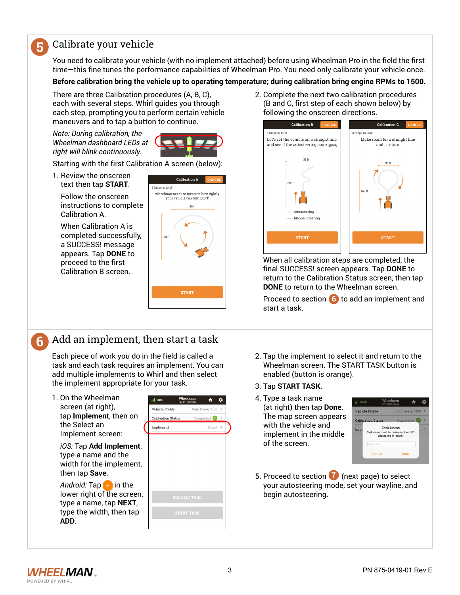### Calibrate your vehicle

**5**

You need to calibrate your vehicle (with no implement attached) before using Wheelman Pro in the field the first time—this fine tunes the performance capabilities of Wheelman Pro. You need only calibrate your vehicle once.

#### **Before calibration bring the vehicle up to operating temperature; during calibration bring engine RPMs to 1500.**

There are three Calibration procedures (A, B, C), each with several steps. Whirl guides you through each step, prompting you to perform certain vehicle maneuvers and to tap a button to continue.

*Note: During calibration, the Wheelman dashboard LEDs at right will blink continuously.*



Starting with the first Calibration A screen (below):

1. Review the onscreen text then tap **START**.

Follow the onscreen instructions to complete Calibration A.

When Calibration A is completed successfully, a SUCCESS! message appears. Tap **DONE** to proceed to the first Calibration B screen.



## **6** Add an implement, then start a task

Each piece of work you do in the field is called a task and each task requires an implement. You can add multiple implements to Whirl and then select the implement appropriate for your task.

1. On the Wheelman screen (at right), tap **Implement**, then on the Select an Implement screen:

*iOS:* Tap **Add Implement**, type a name and the width for the implement, then tap **Save**.

*Android:* Tap  $\rightarrow$  in the lower right of the screen, type a name, tap **NEXT**, type the width, then tap **ADD**.



2. Complete the next two calibration procedures (B and C, first step of each shown below) by following the onscreen directions.



When all calibration steps are completed, the final SUCCESS! screen appears. Tap **DONE** to return to the Calibration Status screen, then tap **DONE** to return to the Wheelman screen.

Proceed to section 6 to add an implement and start a task.

- 2. Tap the implement to select it and return to the Wheelman screen. The START TASK button is enabled (button is orange).
- 3. Tap **START TASK**.
- 4. Type a task name (at right) then tap **Done**. The map screen appears with the vehicle and implement in the middle of the screen.



5. Proceed to section **7** (next page) to select your autosteering mode, set your wayline, and begin autosteering.